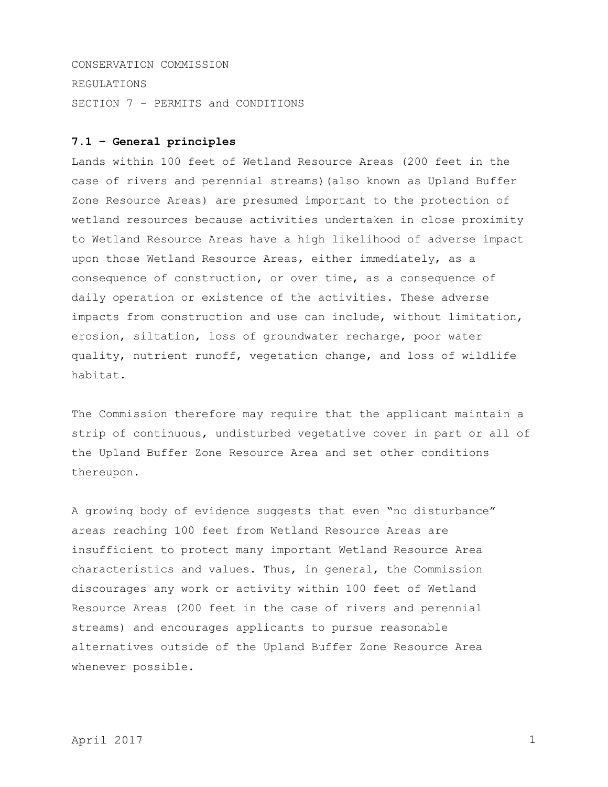CONSERVATION COMMISSION REGULATIONS SECTION 7 - PERMITS and CONDITIONS

## **7.1 – General principles**

Lands within 100 feet of Wetland Resource Areas (200 feet in the case of rivers and perennial streams)(also known as Upland Buffer Zone Resource Areas) are presumed important to the protection of wetland resources because activities undertaken in close proximity to Wetland Resource Areas have a high likelihood of adverse impact upon those Wetland Resource Areas, either immediately, as a consequence of construction, or over time, as a consequence of daily operation or existence of the activities. These adverse impacts from construction and use can include, without limitation, erosion, siltation, loss of groundwater recharge, poor water quality, nutrient runoff, vegetation change, and loss of wildlife habitat.

The Commission therefore may require that the applicant maintain a strip of continuous, undisturbed vegetative cover in part or all of the Upland Buffer Zone Resource Area and set other conditions thereupon.

A growing body of evidence suggests that even "no disturbance" areas reaching 100 feet from Wetland Resource Areas are insufficient to protect many important Wetland Resource Area characteristics and values. Thus, in general, the Commission discourages any work or activity within 100 feet of Wetland Resource Areas (200 feet in the case of rivers and perennial streams) and encourages applicants to pursue reasonable alternatives outside of the Upland Buffer Zone Resource Area whenever possible.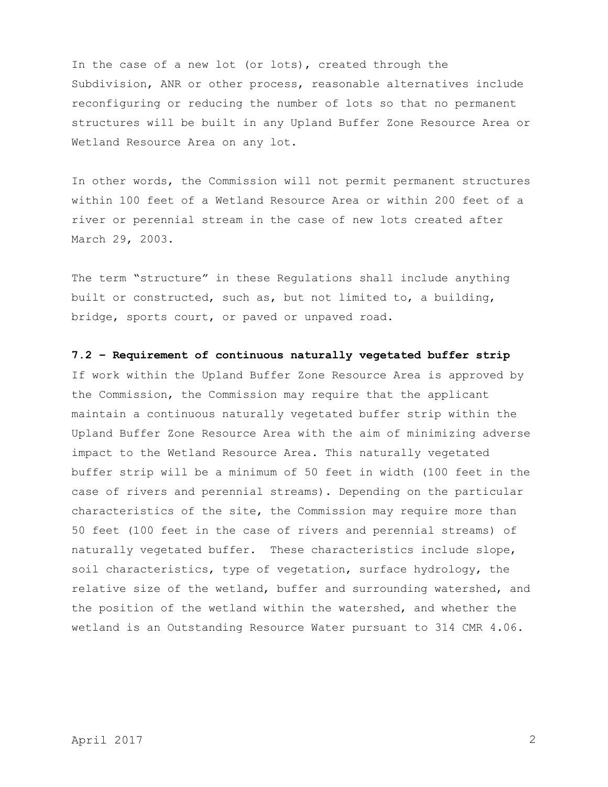In the case of a new lot (or lots), created through the Subdivision, ANR or other process, reasonable alternatives include reconfiguring or reducing the number of lots so that no permanent structures will be built in any Upland Buffer Zone Resource Area or Wetland Resource Area on any lot.

In other words, the Commission will not permit permanent structures within 100 feet of a Wetland Resource Area or within 200 feet of a river or perennial stream in the case of new lots created after March 29, 2003.

The term "structure" in these Regulations shall include anything built or constructed, such as, but not limited to, a building, bridge, sports court, or paved or unpaved road.

**7.2 – Requirement of continuous naturally vegetated buffer strip**

If work within the Upland Buffer Zone Resource Area is approved by the Commission, the Commission may require that the applicant maintain a continuous naturally vegetated buffer strip within the Upland Buffer Zone Resource Area with the aim of minimizing adverse impact to the Wetland Resource Area. This naturally vegetated buffer strip will be a minimum of 50 feet in width (100 feet in the case of rivers and perennial streams). Depending on the particular characteristics of the site, the Commission may require more than 50 feet (100 feet in the case of rivers and perennial streams) of naturally vegetated buffer. These characteristics include slope, soil characteristics, type of vegetation, surface hydrology, the relative size of the wetland, buffer and surrounding watershed, and the position of the wetland within the watershed, and whether the wetland is an Outstanding Resource Water pursuant to 314 CMR 4.06.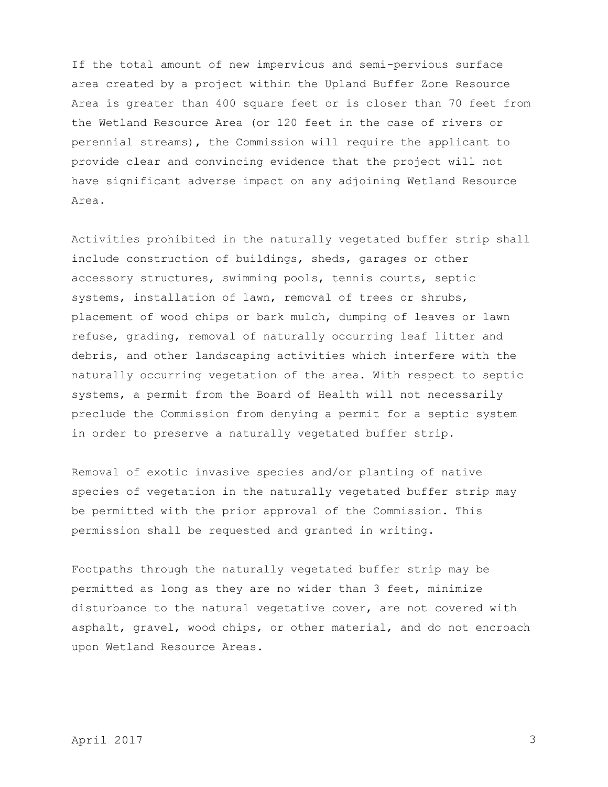If the total amount of new impervious and semi-pervious surface area created by a project within the Upland Buffer Zone Resource Area is greater than 400 square feet or is closer than 70 feet from the Wetland Resource Area (or 120 feet in the case of rivers or perennial streams), the Commission will require the applicant to provide clear and convincing evidence that the project will not have significant adverse impact on any adjoining Wetland Resource Area.

Activities prohibited in the naturally vegetated buffer strip shall include construction of buildings, sheds, garages or other accessory structures, swimming pools, tennis courts, septic systems, installation of lawn, removal of trees or shrubs, placement of wood chips or bark mulch, dumping of leaves or lawn refuse, grading, removal of naturally occurring leaf litter and debris, and other landscaping activities which interfere with the naturally occurring vegetation of the area. With respect to septic systems, a permit from the Board of Health will not necessarily preclude the Commission from denying a permit for a septic system in order to preserve a naturally vegetated buffer strip.

Removal of exotic invasive species and/or planting of native species of vegetation in the naturally vegetated buffer strip may be permitted with the prior approval of the Commission. This permission shall be requested and granted in writing.

Footpaths through the naturally vegetated buffer strip may be permitted as long as they are no wider than 3 feet, minimize disturbance to the natural vegetative cover, are not covered with asphalt, gravel, wood chips, or other material, and do not encroach upon Wetland Resource Areas.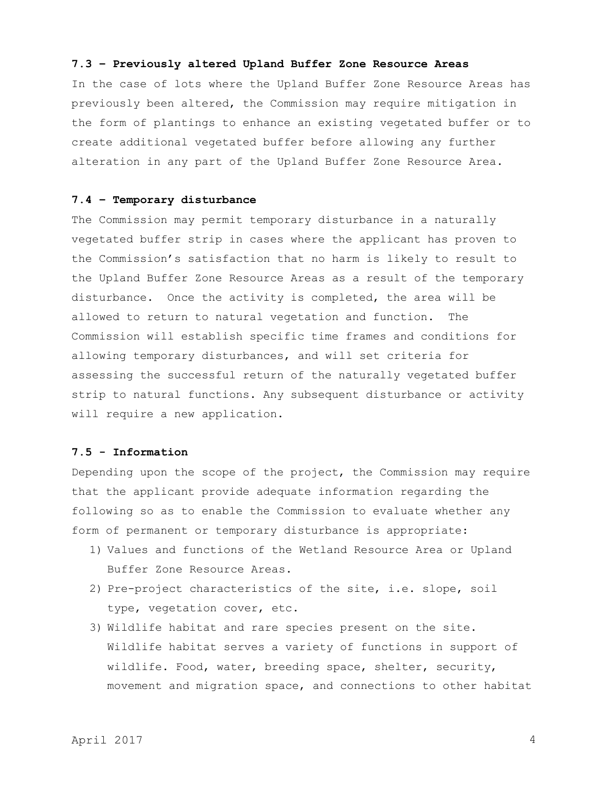#### **7.3 – Previously altered Upland Buffer Zone Resource Areas**

In the case of lots where the Upland Buffer Zone Resource Areas has previously been altered, the Commission may require mitigation in the form of plantings to enhance an existing vegetated buffer or to create additional vegetated buffer before allowing any further alteration in any part of the Upland Buffer Zone Resource Area.

## **7.4 – Temporary disturbance**

The Commission may permit temporary disturbance in a naturally vegetated buffer strip in cases where the applicant has proven to the Commission's satisfaction that no harm is likely to result to the Upland Buffer Zone Resource Areas as a result of the temporary disturbance. Once the activity is completed, the area will be allowed to return to natural vegetation and function. The Commission will establish specific time frames and conditions for allowing temporary disturbances, and will set criteria for assessing the successful return of the naturally vegetated buffer strip to natural functions. Any subsequent disturbance or activity will require a new application.

## **7.5 - Information**

Depending upon the scope of the project, the Commission may require that the applicant provide adequate information regarding the following so as to enable the Commission to evaluate whether any form of permanent or temporary disturbance is appropriate:

- 1) Values and functions of the Wetland Resource Area or Upland Buffer Zone Resource Areas.
- 2) Pre-project characteristics of the site, i.e. slope, soil type, vegetation cover, etc.
- 3) Wildlife habitat and rare species present on the site. Wildlife habitat serves a variety of functions in support of wildlife. Food, water, breeding space, shelter, security, movement and migration space, and connections to other habitat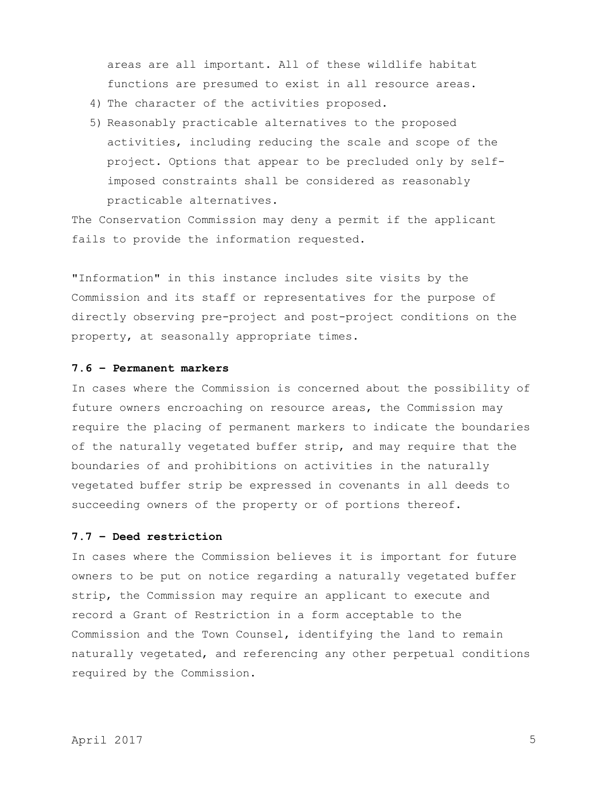areas are all important. All of these wildlife habitat functions are presumed to exist in all resource areas.

- 4) The character of the activities proposed.
- 5) Reasonably practicable alternatives to the proposed activities, including reducing the scale and scope of the project. Options that appear to be precluded only by selfimposed constraints shall be considered as reasonably practicable alternatives.

The Conservation Commission may deny a permit if the applicant fails to provide the information requested.

"Information" in this instance includes site visits by the Commission and its staff or representatives for the purpose of directly observing pre-project and post-project conditions on the property, at seasonally appropriate times.

## **7.6 – Permanent markers**

In cases where the Commission is concerned about the possibility of future owners encroaching on resource areas, the Commission may require the placing of permanent markers to indicate the boundaries of the naturally vegetated buffer strip, and may require that the boundaries of and prohibitions on activities in the naturally vegetated buffer strip be expressed in covenants in all deeds to succeeding owners of the property or of portions thereof.

# **7.7 – Deed restriction**

In cases where the Commission believes it is important for future owners to be put on notice regarding a naturally vegetated buffer strip, the Commission may require an applicant to execute and record a Grant of Restriction in a form acceptable to the Commission and the Town Counsel, identifying the land to remain naturally vegetated, and referencing any other perpetual conditions required by the Commission.